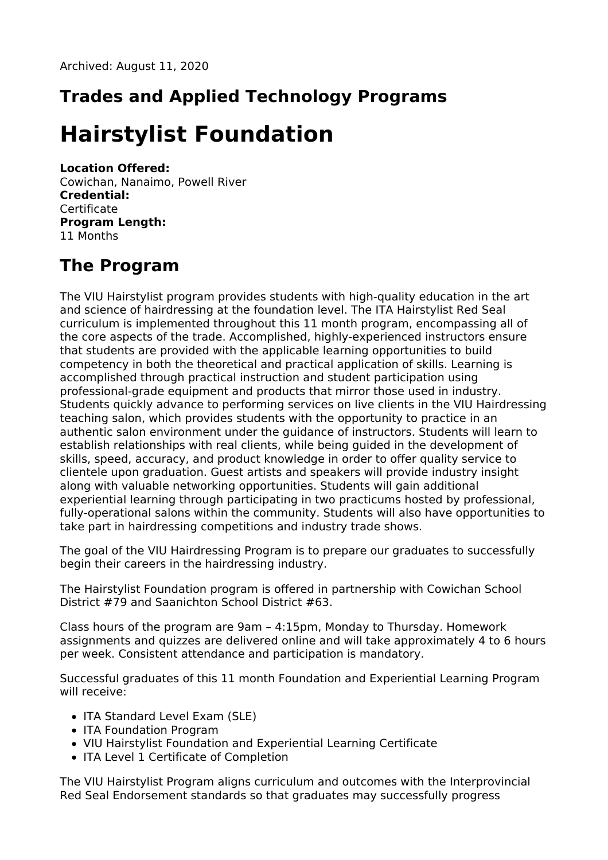# **Trades and Applied Technology Programs**

# **Hairstylist Foundation**

#### **Location Offered:**

Cowichan, Nanaimo, Powell River **Credential:** Certificate **Program Length:** 11 Months

## **The Program**

The VIU Hairstylist program provides students with high-quality education in the art and science of hairdressing at the foundation level. The ITA Hairstylist Red Seal curriculum is implemented throughout this 11 month program, encompassing all of the core aspects of the trade. Accomplished, highly-experienced instructors ensure that students are provided with the applicable learning opportunities to build competency in both the theoretical and practical application of skills. Learning is accomplished through practical instruction and student participation using professional-grade equipment and products that mirror those used in industry. Students quickly advance to performing services on live clients in the VIU Hairdressing teaching salon, which provides students with the opportunity to practice in an authentic salon environment under the guidance of instructors. Students will learn to establish relationships with real clients, while being guided in the development of skills, speed, accuracy, and product knowledge in order to offer quality service to clientele upon graduation. Guest artists and speakers will provide industry insight along with valuable networking opportunities. Students will gain additional experiential learning through participating in two practicums hosted by professional, fully-operational salons within the community. Students will also have opportunities to take part in hairdressing competitions and industry trade shows.

The goal of the VIU Hairdressing Program is to prepare our graduates to successfully begin their careers in the hairdressing industry.

The Hairstylist Foundation program is offered in partnership with Cowichan School District #79 and Saanichton School District #63.

Class hours of the program are 9am – 4:15pm, Monday to Thursday. Homework assignments and quizzes are delivered online and will take approximately 4 to 6 hours per week. Consistent attendance and participation is mandatory.

Successful graduates of this 11 month Foundation and Experiential Learning Program will receive:

- ITA Standard Level Exam (SLE)
- ITA Foundation Program
- VIU Hairstylist Foundation and Experiential Learning Certificate
- ITA Level 1 Certificate of Completion

The VIU Hairstylist Program aligns curriculum and outcomes with the Interprovincial Red Seal Endorsement standards so that graduates may successfully progress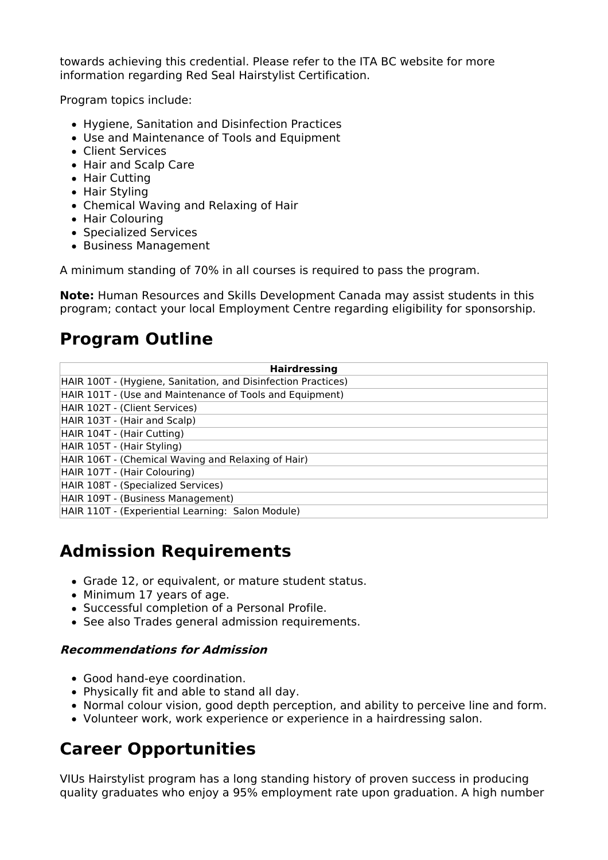towards achieving this credential. Please refer to the ITA BC website for more information regarding Red Seal Hairstylist Certification.

Program topics include:

- Hygiene, Sanitation and Disinfection Practices
- Use and Maintenance of Tools and Equipment
- Client Services
- Hair and Scalp Care
- Hair Cutting
- Hair Styling
- Chemical Waving and Relaxing of Hair
- Hair Colouring
- Specialized Services
- Business Management

A minimum standing of 70% in all courses is required to pass the program.

**Note:** Human Resources and Skills Development Canada may assist students in this program; contact your local Employment Centre regarding eligibility for sponsorship.

### **Program Outline**

| <b>Hairdressing</b>                                           |
|---------------------------------------------------------------|
| HAIR 100T - (Hygiene, Sanitation, and Disinfection Practices) |
| HAIR 101T - (Use and Maintenance of Tools and Equipment)      |
| HAIR 102T - (Client Services)                                 |
| HAIR 103T - (Hair and Scalp)                                  |
| HAIR 104T - (Hair Cutting)                                    |
| HAIR 105T - (Hair Styling)                                    |
| HAIR 106T - (Chemical Waving and Relaxing of Hair)            |
| HAIR 107T - (Hair Colouring)                                  |
| HAIR 108T - (Specialized Services)                            |
| HAIR 109T - (Business Management)                             |
| HAIR 110T - (Experiential Learning: Salon Module)             |

### **Admission Requirements**

- Grade 12, or equivalent, or mature student status.
- Minimum 17 years of age.
- Successful completion of a Personal Profile.
- See also Trades general admission requirements.

#### **Recommendations for Admission**

- Good hand-eye coordination.
- Physically fit and able to stand all day.
- Normal colour vision, good depth perception, and ability to perceive line and form.
- Volunteer work, work experience or experience in a hairdressing salon.

# **Career Opportunities**

VIUs Hairstylist program has a long standing history of proven success in producing quality graduates who enjoy a 95% employment rate upon graduation. A high number